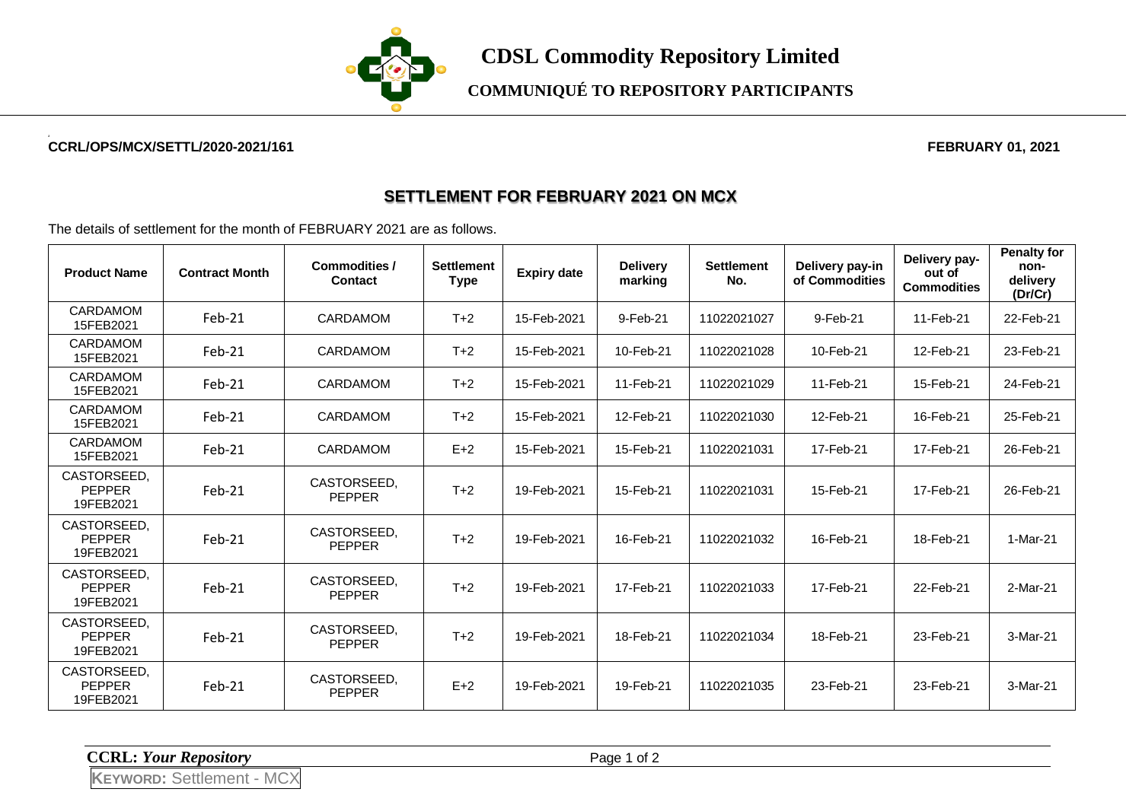

**COMMUNIQUÉ TO REPOSITORY PARTICIPANTS**

## **CCRL/OPS/MCX/SETTL/2020-2021/161 FEBRUARY 01, 2021**

## **SETTLEMENT FOR FEBRUARY 2021 ON MCX**

The details of settlement for the month of FEBRUARY 2021 are as follows.

| <b>Product Name</b>                       | <b>Contract Month</b> | <b>Commodities /</b><br>Contact | <b>Settlement</b><br><b>Type</b> | <b>Expiry date</b> | <b>Delivery</b><br>marking | <b>Settlement</b><br>No. | Delivery pay-in<br>of Commodities | Delivery pay-<br>out of<br><b>Commodities</b> | <b>Penalty for</b><br>non-<br>delivery<br>(Dr/Cr) |
|-------------------------------------------|-----------------------|---------------------------------|----------------------------------|--------------------|----------------------------|--------------------------|-----------------------------------|-----------------------------------------------|---------------------------------------------------|
| CARDAMOM<br>15FEB2021                     | Feb-21                | CARDAMOM                        | $T+2$                            | 15-Feb-2021        | 9-Feb-21                   | 11022021027              | 9-Feb-21                          | 11-Feb-21                                     | 22-Feb-21                                         |
| CARDAMOM<br>15FEB2021                     | $Feb-21$              | CARDAMOM                        | $T+2$                            | 15-Feb-2021        | 10-Feb-21                  | 11022021028              | 10-Feb-21                         | 12-Feb-21                                     | 23-Feb-21                                         |
| CARDAMOM<br>15FEB2021                     | Feb-21                | <b>CARDAMOM</b>                 | $T+2$                            | 15-Feb-2021        | 11-Feb-21                  | 11022021029              | 11-Feb-21                         | 15-Feb-21                                     | 24-Feb-21                                         |
| CARDAMOM<br>15FEB2021                     | $Feb-21$              | <b>CARDAMOM</b>                 | $T+2$                            | 15-Feb-2021        | 12-Feb-21                  | 11022021030              | 12-Feb-21                         | 16-Feb-21                                     | 25-Feb-21                                         |
| CARDAMOM<br>15FEB2021                     | Feb-21                | <b>CARDAMOM</b>                 | $E+2$                            | 15-Feb-2021        | 15-Feb-21                  | 11022021031              | 17-Feb-21                         | 17-Feb-21                                     | 26-Feb-21                                         |
| CASTORSEED.<br>PEPPER<br>19FEB2021        | Feb-21                | CASTORSEED,<br><b>PEPPER</b>    | $T+2$                            | 19-Feb-2021        | 15-Feb-21                  | 11022021031              | 15-Feb-21                         | 17-Feb-21                                     | 26-Feb-21                                         |
| CASTORSEED.<br><b>PEPPER</b><br>19FEB2021 | Feb-21                | CASTORSEED,<br><b>PEPPER</b>    | $T+2$                            | 19-Feb-2021        | 16-Feb-21                  | 11022021032              | 16-Feb-21                         | 18-Feb-21                                     | 1-Mar-21                                          |
| CASTORSEED,<br>PEPPER<br>19FEB2021        | Feb-21                | CASTORSEED.<br><b>PEPPER</b>    | $T+2$                            | 19-Feb-2021        | 17-Feb-21                  | 11022021033              | 17-Feb-21                         | 22-Feb-21                                     | 2-Mar-21                                          |
| CASTORSEED.<br>PEPPER<br>19FEB2021        | Feb-21                | CASTORSEED,<br><b>PEPPER</b>    | $T+2$                            | 19-Feb-2021        | 18-Feb-21                  | 11022021034              | 18-Feb-21                         | 23-Feb-21                                     | 3-Mar-21                                          |
| CASTORSEED.<br>PEPPER<br>19FEB2021        | Feb-21                | CASTORSEED,<br><b>PEPPER</b>    | $E+2$                            | 19-Feb-2021        | 19-Feb-21                  | 11022021035              | 23-Feb-21                         | 23-Feb-21                                     | 3-Mar-21                                          |

**CCRL:** *Your Repository* Page 1 of 2

**KEYWORD:** Settlement - MCX